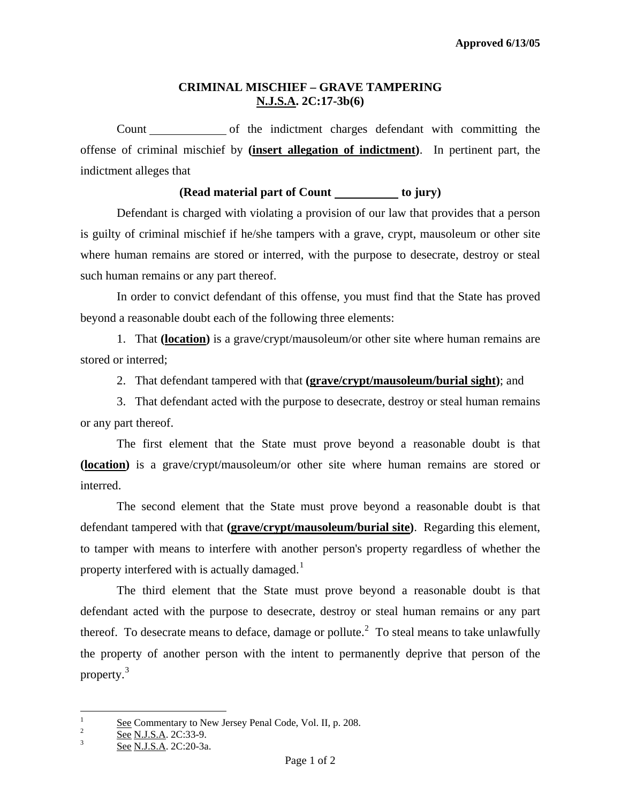## **CRIMINAL MISCHIEF – GRAVE TAMPERING N.J.S.A. 2C:17-3b(6)**

 Count of the indictment charges defendant with committing the offense of criminal mischief by **(insert allegation of indictment)**. In pertinent part, the indictment alleges that

## **(Read material part of Count is not in to jury)**

 Defendant is charged with violating a provision of our law that provides that a person is guilty of criminal mischief if he/she tampers with a grave, crypt, mausoleum or other site where human remains are stored or interred, with the purpose to desecrate, destroy or steal such human remains or any part thereof.

In order to convict defendant of this offense, you must find that the State has proved beyond a reasonable doubt each of the following three elements:

1. That **(location)** is a grave/crypt/mausoleum/or other site where human remains are stored or interred;

2. That defendant tampered with that **(grave/crypt/mausoleum/burial sight)**; and

3. That defendant acted with the purpose to desecrate, destroy or steal human remains or any part thereof.

 The first element that the State must prove beyond a reasonable doubt is that **(location)** is a grave/crypt/mausoleum/or other site where human remains are stored or interred.

 The second element that the State must prove beyond a reasonable doubt is that defendant tampered with that **(grave/crypt/mausoleum/burial site)**. Regarding this element, to tamper with means to interfere with another person's property regardless of whether the property interfered with is actually damaged.<sup>[1](#page-0-0)</sup>

 The third element that the State must prove beyond a reasonable doubt is that defendant acted with the purpose to desecrate, destroy or steal human remains or any part thereof. To desecrate means to deface, damage or pollute.<sup>[2](#page-0-1)</sup> To steal means to take unlawfully the property of another person with the intent to permanently deprive that person of the property.<sup>[3](#page-0-2)</sup>

<span id="page-0-3"></span> $\frac{1}{1}$  $\frac{S}{2}$  See Commentary to New Jersey Penal Code, Vol. II, p. 208.

<span id="page-0-1"></span><span id="page-0-0"></span> $\frac{6}{3}$  See N.J.S.A. 2C:33-9.

<span id="page-0-2"></span>See N.J.S.A. 2C:20-3a.